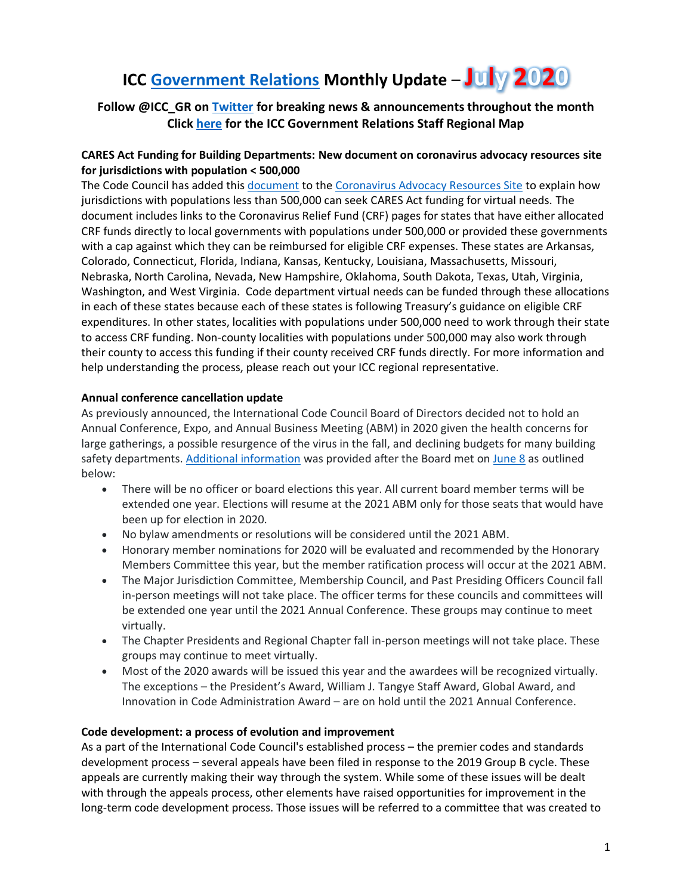# **ICC [Government Relations](https://www.iccsafe.org/about-icc/government-relations/) Monthly Update** – **July 2020**

# **Follow @ICC\_GR o[n Twitter](https://twitter.com/ICC_GR) for breaking news & announcements throughout the month Clic[k here](https://www.iccsafe.org/wp-content/uploads/20-18813_GR_Field_Team_Territory_Map_Update_v3.pdf) for the ICC Government Relations Staff Regional Map**

# **CARES Act Funding for Building Departments: New document on coronavirus advocacy resources site for jurisdictions with population < 500,000**

The Code Council has added this [document](https://cdn-web.iccsafe.org/wp-content/uploads/Guidance-for-Jurisdictions-with-Population-Less-Than-500K-Updated-6-24-20.pdf) to th[e Coronavirus Advocacy Resources Site](https://www.iccsafe.org/advocacy/coronavirus-response-center/advocacy/) to explain how jurisdictions with populations less than 500,000 can seek CARES Act funding for virtual needs. The document includes links to the Coronavirus Relief Fund (CRF) pages for states that have either allocated CRF funds directly to local governments with populations under 500,000 or provided these governments with a cap against which they can be reimbursed for eligible CRF expenses. These states are Arkansas, Colorado, Connecticut, Florida, Indiana, Kansas, Kentucky, Louisiana, Massachusetts, Missouri, Nebraska, North Carolina, Nevada, New Hampshire, Oklahoma, South Dakota, Texas, Utah, Virginia, Washington, and West Virginia. Code department virtual needs can be funded through these allocations in each of these states because each of these states is following Treasury's guidance on eligible CRF expenditures. In other states, localities with populations under 500,000 need to work through their state to access CRF funding. Non-county localities with populations under 500,000 may also work through their county to access this funding if their county received CRF funds directly. For more information and help understanding the process, please reach out your ICC regional representative.

### **Annual conference cancellation update**

As previously announced, the International Code Council Board of Directors decided not to hold an Annual Conference, Expo, and Annual Business Meeting (ABM) in 2020 given the health concerns for large gatherings, a possible resurgence of the virus in the fall, and declining budgets for many building safety departments[. Additional information](https://www.iccsafe.org/about/news-and-events/annual-conference-update-june-15/) was provided after the Board met on [June 8](https://www.iccsafe.org/wp-content/uploads/board_of_directors/JUNE-2020-TELECONFERENCE-SUPPLEMENT.pdf) as outlined below:

- There will be no officer or board elections this year. All current board member terms will be extended one year. Elections will resume at the 2021 ABM only for those seats that would have been up for election in 2020.
- No bylaw amendments or resolutions will be considered until the 2021 ABM.
- Honorary member nominations for 2020 will be evaluated and recommended by the Honorary Members Committee this year, but the member ratification process will occur at the 2021 ABM.
- The Major Jurisdiction Committee, Membership Council, and Past Presiding Officers Council fall in-person meetings will not take place. The officer terms for these councils and committees will be extended one year until the 2021 Annual Conference. These groups may continue to meet virtually.
- The Chapter Presidents and Regional Chapter fall in-person meetings will not take place. These groups may continue to meet virtually.
- Most of the 2020 awards will be issued this year and the awardees will be recognized virtually. The exceptions – the President's Award, William J. Tangye Staff Award, Global Award, and Innovation in Code Administration Award – are on hold until the 2021 Annual Conference.

#### **Code development: a process of evolution and improvement**

As a part of the International Code Council's established process – the premier codes and standards development process – several appeals have been filed in response to the 2019 Group B cycle. These appeals are currently making their way through the system. While some of these issues will be dealt with through the appeals process, other elements have raised opportunities for improvement in the long-term code development process. Those issues will be referred to a committee that was created to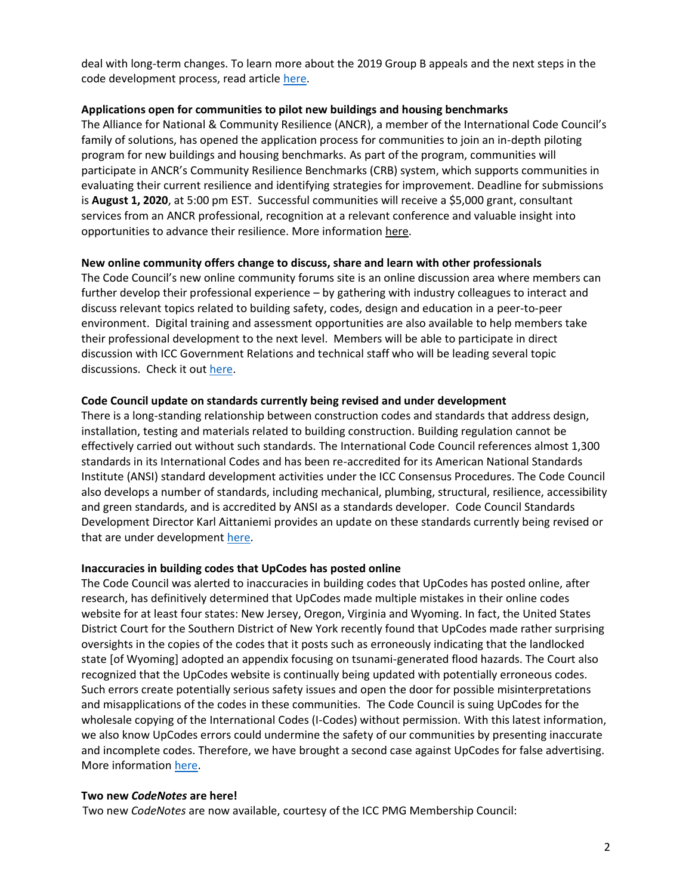deal with long-term changes. To learn more about the 2019 Group B appeals and the next steps in the code development process, read article [here.](https://www.iccsafe.org/building-safety-journal/bsj-technical/code-development-a-process-of-evolution-and-improvement/?utm_source=magnetmail&utm_medium=email&utm_content=200617%2Dpulse%2Dcdp%2Dprocess%2Df&utm_campaign=pulse)

#### **Applications open for communities to pilot new buildings and housing benchmarks**

The Alliance for National & Community Resilience (ANCR), a member of the International Code Council's family of solutions, has opened the application process for communities to join an in-depth piloting program for new buildings and housing benchmarks. As part of the program, communities will participate in ANCR's Community Resilience Benchmarks (CRB) system, which supports communities in evaluating their current resilience and identifying strategies for improvement. Deadline for submissions is **August 1, 2020**, at 5:00 pm EST. Successful communities will receive a \$5,000 grant, consultant services from an ANCR professional, recognition at a relevant conference and valuable insight into opportunities to advance their resilience. More information [here.](https://www.iccsafe.org/about/periodicals-and-newsroom/applications-open-for-communities-to-pilot-new-buildings-and-housing-benchmarks/)

#### **New online community offers change to discuss, share and learn with other professionals**

The Code Council's new online community forums site is an online discussion area where members can further develop their professional experience – by gathering with industry colleagues to interact and discuss relevant topics related to building safety, codes, design and education in a peer-to-peer environment. Digital training and assessment opportunities are also available to help members take their professional development to the next level. Members will be able to participate in direct discussion with ICC Government Relations and technical staff who will be leading several topic discussions. Check it out [here.](https://my.iccsafe.org/discussions/categories/)

#### **Code Council update on standards currently being revised and under development**

There is a long-standing relationship between construction codes and standards that address design, installation, testing and materials related to building construction. Building regulation cannot be effectively carried out without such standards. The International Code Council references almost 1,300 standards in its International Codes and has been re-accredited for its American National Standards Institute (ANSI) standard development activities under the ICC Consensus Procedures. The Code Council also develops a number of standards, including mechanical, plumbing, structural, resilience, accessibility and green standards, and is accredited by ANSI as a standards developer. Code Council Standards Development Director Karl Aittaniemi provides an update on these standards currently being revised or that are under development [here.](https://www.iccsafe.org/building-safety-journal/bsj-technical/code-council-standards-activities-update-3/)

#### **Inaccuracies in building codes that UpCodes has posted online**

The Code Council was alerted to inaccuracies in building codes that UpCodes has posted online, after research, has definitively determined that UpCodes made multiple mistakes in their online codes website for at least four states: New Jersey, Oregon, Virginia and Wyoming. In fact, the United States District Court for the Southern District of New York recently found that UpCodes made rather surprising oversights in the copies of the codes that it posts such as erroneously indicating that the landlocked state [of Wyoming] adopted an appendix focusing on tsunami-generated flood hazards. The Court also recognized that the UpCodes website is continually being updated with potentially erroneous codes. Such errors create potentially serious safety issues and open the door for possible misinterpretations and misapplications of the codes in these communities. The Code Council is suing UpCodes for the wholesale copying of the International Codes (I-Codes) without permission. With this latest information, we also know UpCodes errors could undermine the safety of our communities by presenting inaccurate and incomplete codes. Therefore, we have brought a second case against UpCodes for false advertising. More informatio[n here.](https://www.iccsafe.org/about/periodicals-and-newsroom/icc-pulse/accuracy-is-an-essential-element-of-a-safe-built-environment/)

#### **Two new** *CodeNotes* **are here!**

Two new *CodeNotes* are now available, courtesy of the ICC PMG Membership Council: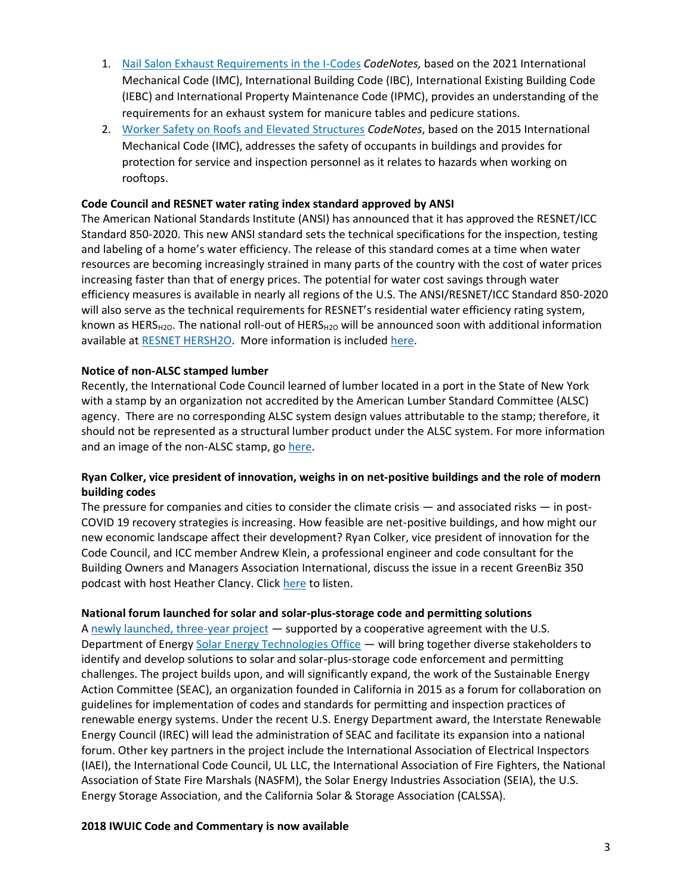- 1. [Nail Salon Exhaust Requirements in the I-Codes](https://cdn-web.iccsafe.org/wp-content/uploads/20-18724_CodeNotes_Nail_Salons_FINAL_HIRES.pdf) *CodeNotes,* based on the 2021 International Mechanical Code (IMC), International Building Code (IBC), International Existing Building Code (IEBC) and International Property Maintenance Code (IPMC), provides an understanding of the requirements for an exhaust system for manicure tables and pedicure stations.
- 2. [Worker Safety on Roofs and Elevated Structures](https://cdn-web.iccsafe.org/wp-content/uploads/membership_councils/102516-codenotes.pdf) *CodeNotes*, based on the 2015 International Mechanical Code (IMC), addresses the safety of occupants in buildings and provides for protection for service and inspection personnel as it relates to hazards when working on rooftops.

#### **Code Council and RESNET water rating index standard approved by ANSI**

The American National Standards Institute (ANSI) has announced that it has approved the RESNET/ICC Standard 850-2020. This new ANSI standard sets the technical specifications for the inspection, testing and labeling of a home's water efficiency. The release of this standard comes at a time when water resources are becoming increasingly strained in many parts of the country with the cost of water prices increasing faster than that of energy prices. The potential for water cost savings through water efficiency measures is available in nearly all regions of the U.S. The ANSI/RESNET/ICC Standard 850-2020 will also serve as the technical requirements for RESNET's residential water efficiency rating system, known as HERS<sub>H2O</sub>. The national roll-out of HERS<sub>H2O</sub> will be announced soon with additional information available at [RESNET HERSH2O.](https://www.resnet.us/about/hersh2o/) More information is include[d here.](https://www.iccsafe.org/about/periodicals-and-newsroom/the-international-code-council-and-resnet-water-rating-index-standard-approved-by-the-american-national-standard-institute/)

### **Notice of non-ALSC stamped lumber**

Recently, the International Code Council learned of lumber located in a port in the State of New York with a stamp by an organization not accredited by the American Lumber Standard Committee (ALSC) agency. There are no corresponding ALSC system design values attributable to the stamp; therefore, it should not be represented as a structural lumber product under the ALSC system. For more information and an image of the non-ALSC stamp, go [here.](https://www.iccsafe.org/about/periodicals-and-newsroom/icc-pulse/notice-of-non-alsc-stamped-lumber/)

# **Ryan Colker, vice president of innovation, weighs in on net-positive buildings and the role of modern building codes**

The pressure for companies and cities to consider the climate crisis — and associated risks — in post-COVID 19 recovery strategies is increasing. How feasible are net-positive buildings, and how might our new economic landscape affect their development? Ryan Colker, vice president of innovation for the Code Council, and ICC member Andrew Klein, a professional engineer and code consultant for the Building Owners and Managers Association International, discuss the issue in a recent GreenBiz 350 podcast with host Heather Clancy. Clic[k here](https://www.greenbiz.com/article/episode-223-climate-action-and-racial-justice-must-converge-urban-forest-credits) to listen.

#### **National forum launched for solar and solar-plus-storage code and permitting solutions**

A [newly launched, three-year project](https://www.iccsafe.org/building-safety-journal/press-releases/national-forum-launched-for-solar-and-storage-code-and-permitting-solutions/) — supported by a cooperative agreement with the U.S. Department of Energy [Solar Energy Technologies Office](https://www.energy.gov/eere/solar/solar-energy-technologies-office) — will bring together diverse stakeholders to identify and develop solutions to solar and solar-plus-storage code enforcement and permitting challenges. The project builds upon, and will significantly expand, the work of the Sustainable Energy Action Committee (SEAC), an organization founded in California in 2015 as a forum for collaboration on guidelines for implementation of codes and standards for permitting and inspection practices of renewable energy systems. Under the recent U.S. Energy Department award, the Interstate Renewable Energy Council (IREC) will lead the administration of SEAC and facilitate its expansion into a national forum. Other key partners in the project include the International Association of Electrical Inspectors (IAEI), the International Code Council, UL LLC, the International Association of Fire Fighters, the National Association of State Fire Marshals (NASFM), the Solar Energy Industries Association (SEIA), the U.S. Energy Storage Association, and the California Solar & Storage Association (CALSSA).

#### **2018 IWUIC Code and Commentary is now available**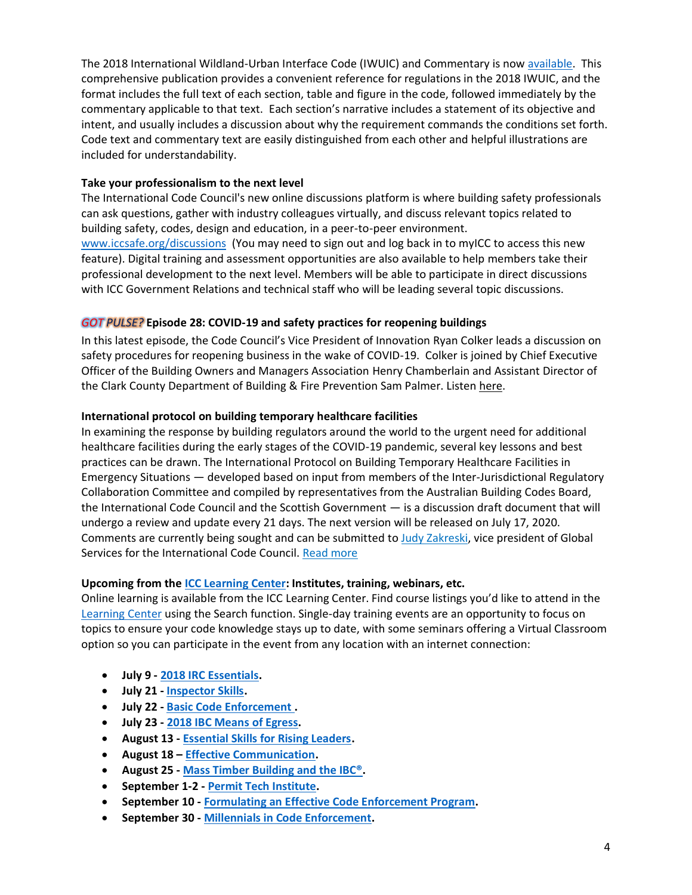The 2018 International Wildland-Urban Interface Code (IWUIC) and Commentary is now [available.](https://shop.iccsafe.org/codes/2018-iwuicr-code-and-commentary.html) This comprehensive publication provides a convenient reference for regulations in the 2018 IWUIC, and the format includes the full text of each section, table and figure in the code, followed immediately by the commentary applicable to that text. Each section's narrative includes a statement of its objective and intent, and usually includes a discussion about why the requirement commands the conditions set forth. Code text and commentary text are easily distinguished from each other and helpful illustrations are included for understandability.

#### **Take your professionalism to the next level**

The International Code Council's new online discussions platform is where building safety professionals can ask questions, gather with industry colleagues virtually, and discuss relevant topics related to building safety, codes, design and education, in a peer-to-peer environment.

[www.iccsafe.org/discussions](http://www.iccsafe.org/discussions) (You may need to sign out and log back in to myICC to access this new feature). Digital training and assessment opportunities are also available to help members take their professional development to the next level. Members will be able to participate in direct discussions with ICC Government Relations and technical staff who will be leading several topic discussions.

# *GOT PULSE?* **Episode 28: COVID-19 and safety practices for reopening buildings**

In this latest episode, the Code Council's Vice President of Innovation [Ryan Colker](https://www.iccsafe.org/expert/ryan-colker/) leads a discussion on safety procedures for reopening business in the wake of COVID-19. Colker is joined by Chief Executive Officer of the Building Owners and Managers Association [Henry Chamberlain](https://www.iccsafe.org/henry-chamberlain-bio/) and Assistant Director of the Clark County Department of Building & Fire Prevention [Sam Palmer.](https://www.iccsafe.org/sam-palmer-bio/) Listen [here.](https://iccpulsepodcast.libsyn.com/episode-28-covid-19-safety-practices-for-reopening-buildings)

### **International protocol on building temporary healthcare facilities**

In examining the response by building regulators around the world to the urgent need for additional healthcare facilities during the early stages of the COVID-19 pandemic, several key lessons and best practices can be drawn. The International Protocol on Building Temporary Healthcare Facilities in Emergency Situations — developed based on input from members of the Inter-Jurisdictional Regulatory Collaboration Committee and compiled by representatives from the Australian Building Codes Board, the International Code Council and the Scottish Government — is a discussion draft document that will undergo a review and update every 21 days. The next version will be released on July 17, 2020. Comments are currently being sought and can be submitted to [Judy Zakreski,](http://send.iccsafe.org/link.cfm?r=V5s0ZGFiUR4VEWq2CEqipg~~&pe=L_FO5GppA5y7gpowSsehRjlIekkPu7NXL1MXnj48mawriq0OR4fKq03R4ZWTy1VQO7-B8-9MNf3-U9s907ZcJQ~~&t=ef4Pz_HkB89A_3wvu7OgTQ~~) vice president of Global Services for the International Code Council. [Read more](http://send.iccsafe.org/link.cfm?r=V5s0ZGFiUR4VEWq2CEqipg~~&pe=CzMcb30Oo4Dw-9dn9hrLB0cVimKthn4GZ2p4bqBxFUyau4FQvWmW-WCloWjJHK3F47t9IZVybcklf-VfRrhSkA~~&t=ef4Pz_HkB89A_3wvu7OgTQ~~)

#### **Upcoming from the [ICC Learning Center:](https://learn.iccsafe.org/ihtml/application/student/interface.icc/index.htm) Institutes, training, webinars, etc.**

Online learning is available from the ICC Learning Center. Find course listings you'd like to attend in the [Learning Center](http://go.iccsafe.org/e/25182/2017-12-19/cmblwp/1298014948) using the Search function. Single-day training events are an opportunity to focus on topics to ensure your code knowledge stays up to date, with some seminars offering a Virtual Classroom option so you can participate in the event from any location with an internet connection:

- **July 9 - [2018 IRC Essentials.](http://send.iccsafe.org/link.cfm?r=MY26aZdNpJPJZRkiDzP23w~~&pe=5ivKhtMm1S86NAb4OlNtYncqT1ahFakf158ZdaemdZKMj06HQEVgMc1CiJ7XFeoZA9R9x-MsSIQh7E8Ju0mBtA~~&t=4fTNHrMDW6JyC0MyuxWhnQ~~)**
- **July 21 - [Inspector Skills.](http://send.iccsafe.org/link.cfm?r=MY26aZdNpJPJZRkiDzP23w~~&pe=487CbTw4iY11Cn9M9XQUrk-Perj9orfvrqJ7mXnR8GdvBPKkqQ8G3OX5ycI6A9qZNUgMNFSyFu6wt-_qZtRt5w~~&t=4fTNHrMDW6JyC0MyuxWhnQ~~)**
- **July 22 - [Basic Code Enforcement .](http://send.iccsafe.org/link.cfm?r=MY26aZdNpJPJZRkiDzP23w~~&pe=4DdCCf3rxsbXh2B6ZWteWs_N1oYwHqiBhNf_Sx5HD44F3yz8NJzDGrgn03XZ137_QgSbbhPFXB3qDK3q_LnkSQ~~&t=4fTNHrMDW6JyC0MyuxWhnQ~~)**
- **July 23 - [2018 IBC Means of Egress.](http://send.iccsafe.org/link.cfm?r=MY26aZdNpJPJZRkiDzP23w~~&pe=oMljBHoG9qOKQXd-gz26sjgBwbsz3wiRbmeX-v719xRh_mxv5BzgZm4PDCbFKFshhd0QPvZ-VR-d9AmXmvzGCA~~&t=4fTNHrMDW6JyC0MyuxWhnQ~~)**
- **August 13 - [Essential Skills for Rising Leaders.](http://send.iccsafe.org/link.cfm?r=MY26aZdNpJPJZRkiDzP23w~~&pe=HUVv0s36RhF_P0vYikypkw5qBzgGHZ7jUJLWCbhhvtsdIqvKtCP0NKK3Z0Bkd5AFCQIEZU-MaLGsooJUx-IOnQ~~&t=x9eW3U-Qqf3-l730I5---g~~)**
- **August 18 – [Effective Communication.](http://send.iccsafe.org/link.cfm?r=DfOy20rrp-eFB7x8y4AhVQ~~&pe=hD1pcF0I4hQAQgsVGkzEiZi5FYdAeqGlJxh-bJ_Un4uUEPqVFufC9YMmTpZtyjz4Syb8-4Tqde833WUrd9OWiA~~&t=Au7KchN_PbU0DeuO3lGI8Q~~)**
- **August 25 - [Mass Timber Building and the IBC®.](http://send.iccsafe.org/link.cfm?r=MY26aZdNpJPJZRkiDzP23w~~&pe=lgV6f2rNXcnQp3FolFdDEpaeCVbeyl-PHDyVywft_z-LWCCKIkYEEpCgGE4x6o-JCQsxwo4uJdmUrAvJxXv4vA~~&t=4fTNHrMDW6JyC0MyuxWhnQ~~)**
- **September 1-2 - [Permit Tech Institute.](http://send.iccsafe.org/link.cfm?r=MY26aZdNpJPJZRkiDzP23w~~&pe=vPejUUkTgC_HJz4L10wblX7TRvEidZP3q6f9lDgFyZOEHQbF6jGEYQJpmgK-r1OXhTJKXoTe5Lrqk-l71_5cTw~~&t=4fTNHrMDW6JyC0MyuxWhnQ~~)**
- **September 10 - [Formulating an Effective Code Enforcement Program.](http://send.iccsafe.org/link.cfm?r=DfOy20rrp-eFB7x8y4AhVQ~~&pe=KlLF36kU3E54ejkayR26k2u3BGFJgKAmiu4GtVZE0vjqdj3ENLtgzVRv76C4Esa7kwXI96exCST84HfKE20mWQ~~&t=Au7KchN_PbU0DeuO3lGI8Q~~)**
- **September 30 - [Millennials in Code Enforcement.](http://send.iccsafe.org/link.cfm?r=MY26aZdNpJPJZRkiDzP23w~~&pe=vGSxFBn-wnTJPwb5Jfmxy3TC3GpCR6JerwIIwQCa5SaYwxXdY3udIMX_XtaaTCa6kR9wi-AiBtAoq9nPw8iaMw~~&t=4fTNHrMDW6JyC0MyuxWhnQ~~)**